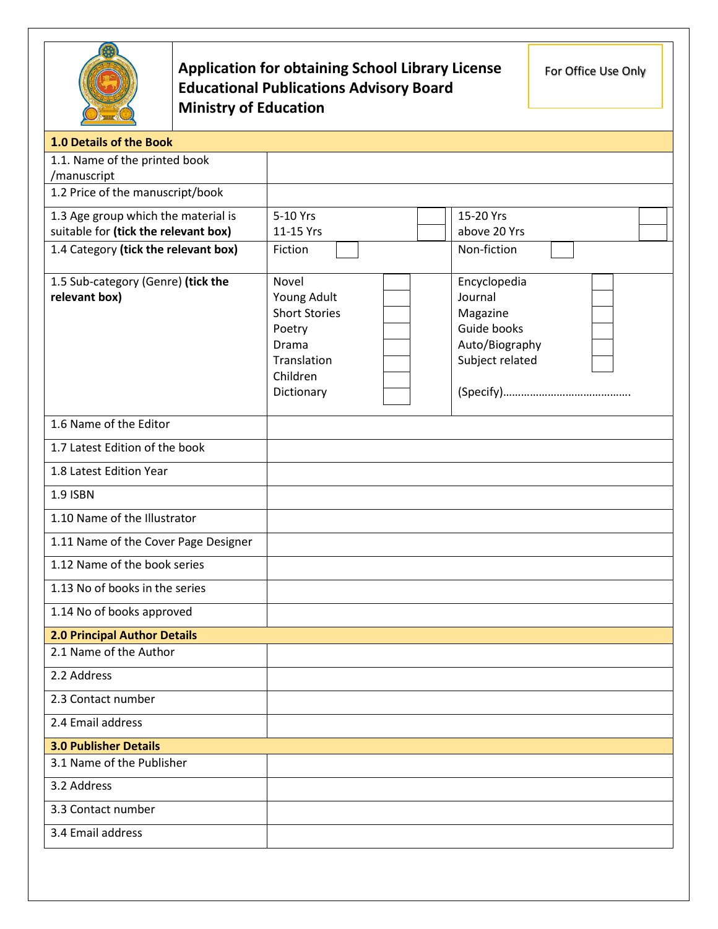

## **Application for obtaining School Library License Educational Publications Advisory Board Ministry of Education**

For Office Use Only

| 1.0 Details of the Book                                                     |                       |                                   |
|-----------------------------------------------------------------------------|-----------------------|-----------------------------------|
| 1.1. Name of the printed book                                               |                       |                                   |
| /manuscript<br>1.2 Price of the manuscript/book                             |                       |                                   |
|                                                                             |                       |                                   |
| 1.3 Age group which the material is<br>suitable for (tick the relevant box) | 5-10 Yrs<br>11-15 Yrs | 15-20 Yrs<br>above 20 Yrs         |
| 1.4 Category (tick the relevant box)                                        | Fiction               | Non-fiction                       |
|                                                                             |                       |                                   |
| 1.5 Sub-category (Genre) (tick the                                          | Novel                 | Encyclopedia                      |
| relevant box)                                                               | Young Adult           | Journal                           |
|                                                                             | <b>Short Stories</b>  | Magazine                          |
|                                                                             | Poetry<br>Drama       | Guide books                       |
|                                                                             | Translation           | Auto/Biography<br>Subject related |
|                                                                             | Children              |                                   |
|                                                                             | Dictionary            |                                   |
|                                                                             |                       |                                   |
| 1.6 Name of the Editor                                                      |                       |                                   |
| 1.7 Latest Edition of the book                                              |                       |                                   |
| 1.8 Latest Edition Year                                                     |                       |                                   |
| <b>1.9 ISBN</b>                                                             |                       |                                   |
| 1.10 Name of the Illustrator                                                |                       |                                   |
| 1.11 Name of the Cover Page Designer                                        |                       |                                   |
| 1.12 Name of the book series                                                |                       |                                   |
| 1.13 No of books in the series                                              |                       |                                   |
| 1.14 No of books approved                                                   |                       |                                   |
| <b>2.0 Principal Author Details</b>                                         |                       |                                   |
| 2.1 Name of the Author                                                      |                       |                                   |
| 2.2 Address                                                                 |                       |                                   |
| 2.3 Contact number                                                          |                       |                                   |
| 2.4 Email address                                                           |                       |                                   |
| <b>3.0 Publisher Details</b>                                                |                       |                                   |
| 3.1 Name of the Publisher                                                   |                       |                                   |
| 3.2 Address                                                                 |                       |                                   |
| 3.3 Contact number                                                          |                       |                                   |
| 3.4 Email address                                                           |                       |                                   |